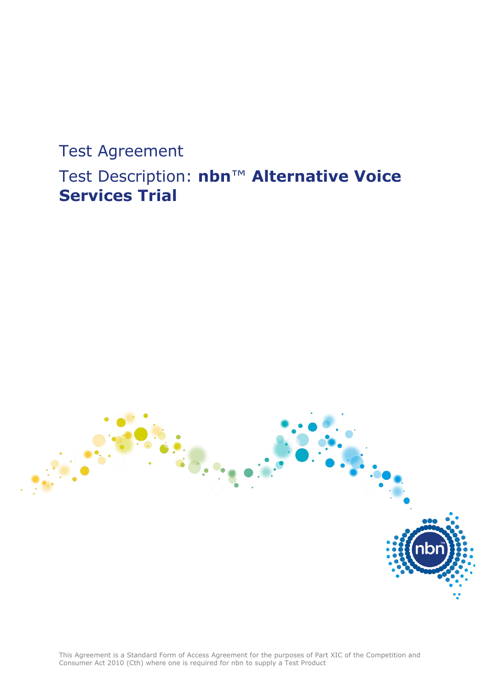# Test Agreement Test Description: **nbn**™ **Alternative Voice Services Trial**

This Agreement is a Standard Form of Access Agreement for the purposes of Part XIC of the Competition and Consumer Act 2010 (Cth) where one is required for nbn to supply a Test Product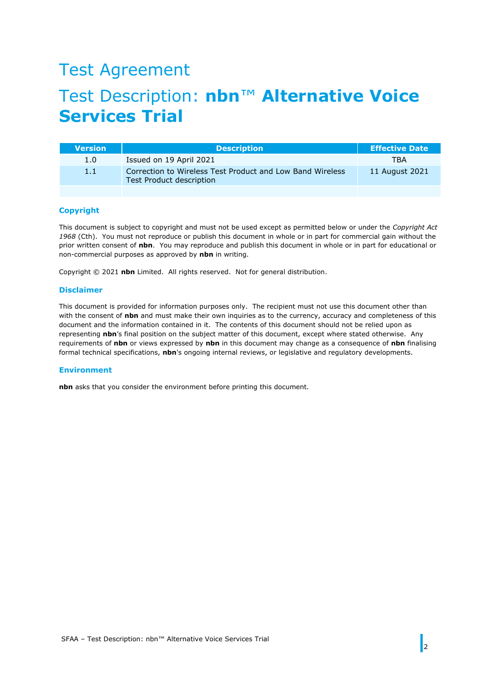# Test Agreement

# Test Description: **nbn**™ **Alternative Voice Services Trial**

| Version | <b>Description</b>                                                                    | <b>Effective Date</b> |
|---------|---------------------------------------------------------------------------------------|-----------------------|
| 1.0     | Issued on 19 April 2021                                                               | <b>TBA</b>            |
| 1.1     | Correction to Wireless Test Product and Low Band Wireless<br>Test Product description | 11 August 2021        |
|         |                                                                                       |                       |

#### **Copyright**

This document is subject to copyright and must not be used except as permitted below or under the *Copyright Act 1968* (Cth). You must not reproduce or publish this document in whole or in part for commercial gain without the prior written consent of **nbn**. You may reproduce and publish this document in whole or in part for educational or non-commercial purposes as approved by **nbn** in writing.

Copyright © 2021 **nbn** Limited. All rights reserved. Not for general distribution.

#### **Disclaimer**

This document is provided for information purposes only. The recipient must not use this document other than with the consent of **nbn** and must make their own inquiries as to the currency, accuracy and completeness of this document and the information contained in it. The contents of this document should not be relied upon as representing **nbn**'s final position on the subject matter of this document, except where stated otherwise. Any requirements of **nbn** or views expressed by **nbn** in this document may change as a consequence of **nbn** finalising formal technical specifications, **nbn**'s ongoing internal reviews, or legislative and regulatory developments.

#### **Environment**

**nbn** asks that you consider the environment before printing this document.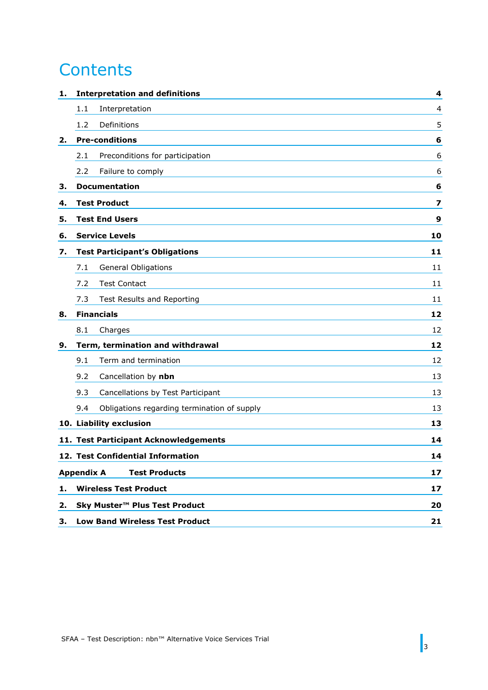# **Contents**

| 1. | <b>Interpretation and definitions</b>              | 4  |  |
|----|----------------------------------------------------|----|--|
|    | 1.1<br>Interpretation                              | 4  |  |
|    | 1.2<br>Definitions                                 | 5  |  |
| 2. | <b>Pre-conditions</b>                              | 6  |  |
|    | Preconditions for participation<br>2.1             | 6  |  |
|    | Failure to comply<br>2.2                           | 6  |  |
| З. | <b>Documentation</b>                               | 6  |  |
| 4. | <b>Test Product</b>                                | 7  |  |
| 5. | <b>Test End Users</b><br>9                         |    |  |
| 6. | <b>Service Levels</b>                              | 10 |  |
| 7. | <b>Test Participant's Obligations</b>              | 11 |  |
|    | <b>General Obligations</b><br>7.1                  | 11 |  |
|    | 7.2<br><b>Test Contact</b>                         | 11 |  |
|    | 7.3<br>Test Results and Reporting                  | 11 |  |
| 8. | <b>Financials</b>                                  | 12 |  |
|    | 8.1<br>Charges                                     | 12 |  |
| 9. | Term, termination and withdrawal                   | 12 |  |
|    | Term and termination<br>9.1                        | 12 |  |
|    | 9.2<br>Cancellation by nbn                         | 13 |  |
|    | 9.3<br>Cancellations by Test Participant           | 13 |  |
|    | Obligations regarding termination of supply<br>9.4 | 13 |  |
|    | 10. Liability exclusion                            | 13 |  |
|    | 11. Test Participant Acknowledgements              | 14 |  |
|    | 12. Test Confidential Information                  | 14 |  |
|    | <b>Test Products</b><br><b>Appendix A</b>          | 17 |  |
| 1. | <b>Wireless Test Product</b>                       | 17 |  |
| 2. | Sky Muster™ Plus Test Product                      | 20 |  |
| З. | <b>Low Band Wireless Test Product</b>              | 21 |  |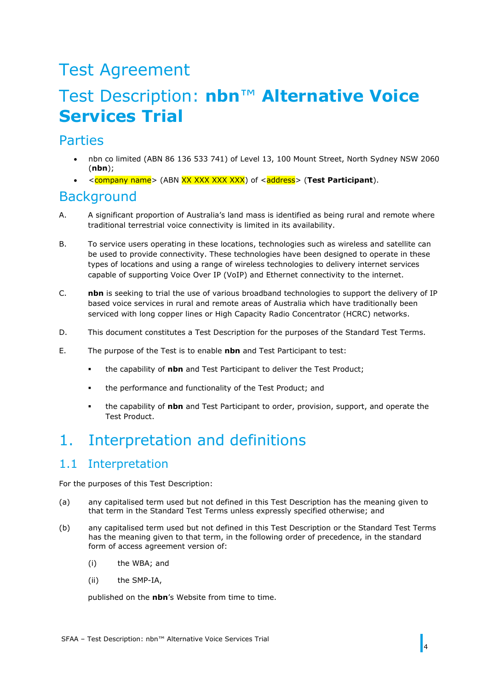# Test Agreement

# Test Description: **nbn**™ **Alternative Voice Services Trial**

## **Parties**

- nbn co limited (ABN 86 136 533 741) of Level 13, 100 Mount Street, North Sydney NSW 2060 (**nbn**);
- <company name> (ABN XX XXX XXX XXX) of <address> (**Test Participant**).

## **Background**

- A. A significant proportion of Australia's land mass is identified as being rural and remote where traditional terrestrial voice connectivity is limited in its availability.
- B. To service users operating in these locations, technologies such as wireless and satellite can be used to provide connectivity. These technologies have been designed to operate in these types of locations and using a range of wireless technologies to delivery internet services capable of supporting Voice Over IP (VoIP) and Ethernet connectivity to the internet.
- C. **nbn** is seeking to trial the use of various broadband technologies to support the delivery of IP based voice services in rural and remote areas of Australia which have traditionally been serviced with long copper lines or High Capacity Radio Concentrator (HCRC) networks.
- D. This document constitutes a Test Description for the purposes of the Standard Test Terms.
- E. The purpose of the Test is to enable **nbn** and Test Participant to test:
	- the capability of **nbn** and Test Participant to deliver the Test Product;
	- the performance and functionality of the Test Product; and
	- the capability of **nbn** and Test Participant to order, provision, support, and operate the Test Product.

# <span id="page-3-0"></span>1. Interpretation and definitions

### <span id="page-3-1"></span>1.1 Interpretation

For the purposes of this Test Description:

- (a) any capitalised term used but not defined in this Test Description has the meaning given to that term in the Standard Test Terms unless expressly specified otherwise; and
- (b) any capitalised term used but not defined in this Test Description or the Standard Test Terms has the meaning given to that term, in the following order of precedence, in the standard form of access agreement version of:
	- (i) the WBA; and
	- (ii) the SMP-IA,

published on the **nbn**'s Website from time to time.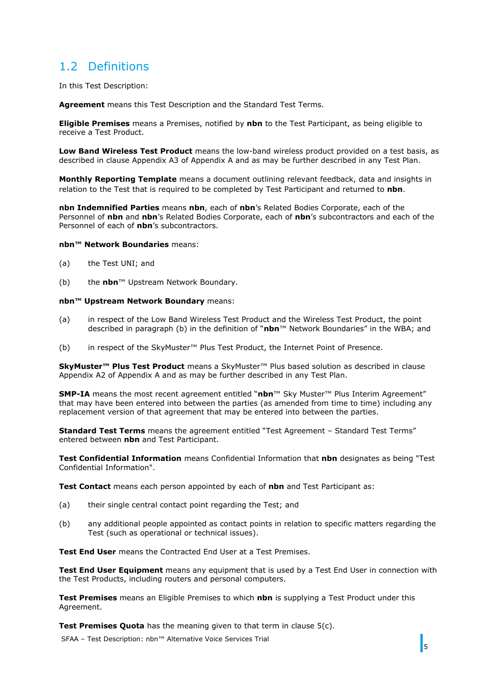## <span id="page-4-0"></span>1.2 Definitions

In this Test Description:

**Agreement** means this Test Description and the Standard Test Terms.

**Eligible Premises** means a Premises, notified by **nbn** to the Test Participant, as being eligible to receive a Test Product.

**Low Band Wireless Test Product** means the low-band wireless product provided on a test basis, as described in clause [Appendix A3](#page-20-0) of [Appendix A](#page-16-0) and as may be further described in any Test Plan.

**Monthly Reporting Template** means a document outlining relevant feedback, data and insights in relation to the Test that is required to be completed by Test Participant and returned to **nbn**.

**nbn Indemnified Parties** means **nbn**, each of **nbn**'s Related Bodies Corporate, each of the Personnel of **nbn** and **nbn**'s Related Bodies Corporate, each of **nbn**'s subcontractors and each of the Personnel of each of **nbn**'s subcontractors.

#### **nbn™ Network Boundaries** means:

- (a) the Test UNI; and
- (b) the **nbn**™ Upstream Network Boundary.

#### **nbn™ Upstream Network Boundary** means:

- (a) in respect of the Low Band Wireless Test Product and the Wireless Test Product, the point described in paragraph (b) in the definition of "**nbn**™ Network Boundaries" in the WBA; and
- (b) in respect of the SkyMuster™ Plus Test Product, the Internet Point of Presence.

**SkyMuster™ Plus Test Product** means a SkyMuster™ Plus based solution as described in clause [Appendix A2](#page-19-0) of [Appendix A](#page-16-0) and as may be further described in any Test Plan.

**SMP-IA** means the most recent agreement entitled "**nbn**™ Sky Muster™ Plus Interim Agreement" that may have been entered into between the parties (as amended from time to time) including any replacement version of that agreement that may be entered into between the parties.

**Standard Test Terms** means the agreement entitled "Test Agreement – Standard Test Terms" entered between **nbn** and Test Participant.

**Test Confidential Information** means Confidential Information that **nbn** designates as being "Test Confidential Information".

**Test Contact** means each person appointed by each of **nbn** and Test Participant as:

- (a) their single central contact point regarding the Test; and
- (b) any additional people appointed as contact points in relation to specific matters regarding the Test (such as operational or technical issues).

**Test End User** means the Contracted End User at a Test Premises.

**Test End User Equipment** means any equipment that is used by a Test End User in connection with the Test Products, including routers and personal computers.

**Test Premises** means an Eligible Premises to which **nbn** is supplying a Test Product under this Agreement.

**Test Premises Quota** has the meaning given to that term in clause [5\(c\).](#page-8-1)

SFAA – Test Description: nbn™ Alternative Voice Services Trial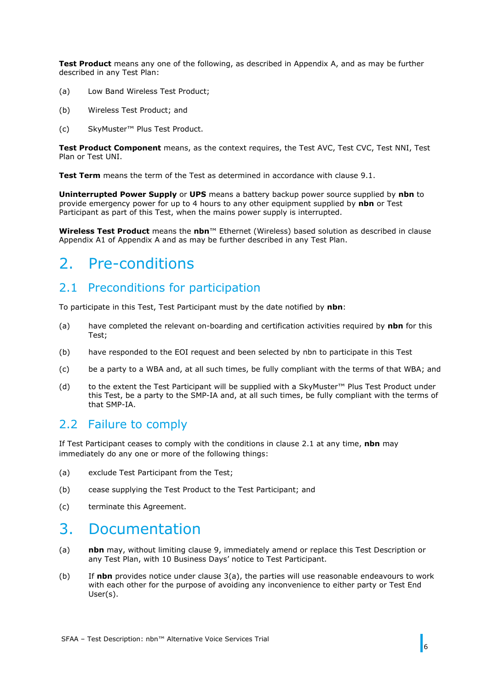**Test Product** means any one of the following, as described in [Appendix A,](#page-16-0) and as may be further described in any Test Plan:

- (a) Low Band Wireless Test Product;
- (b) Wireless Test Product; and
- (c) SkyMuster™ Plus Test Product.

**Test Product Component** means, as the context requires, the Test AVC, Test CVC, Test NNI, Test Plan or Test UNI.

**Test Term** means the term of the Test as determined in accordance with clause [9.1.](#page-11-3)

**Uninterrupted Power Supply** or **UPS** means a battery backup power source supplied by **nbn** to provide emergency power for up to 4 hours to any other equipment supplied by **nbn** or Test Participant as part of this Test, when the mains power supply is interrupted.

**Wireless Test Product** means the **nbn**™ Ethernet (Wireless) based solution as described in clause [Appendix A1](#page-16-1) of [Appendix A](#page-16-0) and as may be further described in any Test Plan.

## <span id="page-5-0"></span>2. Pre-conditions

## <span id="page-5-1"></span>2.1 Preconditions for participation

To participate in this Test, Test Participant must by the date notified by **nbn**:

- (a) have completed the relevant on-boarding and certification activities required by **nbn** for this Test;
- (b) have responded to the EOI request and been selected by nbn to participate in this Test
- (c) be a party to a WBA and, at all such times, be fully compliant with the terms of that WBA; and
- (d) to the extent the Test Participant will be supplied with a SkyMuster™ Plus Test Product under this Test, be a party to the SMP-IA and, at all such times, be fully compliant with the terms of that SMP-IA.

### <span id="page-5-2"></span>2.2 Failure to comply

If Test Participant ceases to comply with the conditions in clause [2.1](#page-5-1) at any time, **nbn** may immediately do any one or more of the following things:

- (a) exclude Test Participant from the Test;
- (b) cease supplying the Test Product to the Test Participant; and
- (c) terminate this Agreement.

## <span id="page-5-3"></span>3. Documentation

- <span id="page-5-4"></span>(a) **nbn** may, without limiting clause [9,](#page-11-2) immediately amend or replace this Test Description or any Test Plan, with 10 Business Days' notice to Test Participant.
- (b) If **nbn** provides notice under clause [3\(a\),](#page-5-4) the parties will use reasonable endeavours to work with each other for the purpose of avoiding any inconvenience to either party or Test End User(s).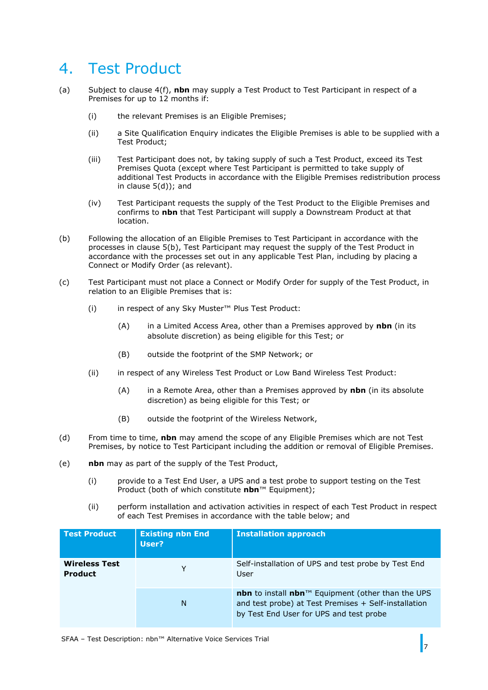## <span id="page-6-0"></span>4. Test Product

- (a) Subject to clause [4\(f\),](#page-7-0) **nbn** may supply a Test Product to Test Participant in respect of a Premises for up to 12 months if:
	- (i) the relevant Premises is an Eligible Premises;
	- (ii) a Site Qualification Enquiry indicates the Eligible Premises is able to be supplied with a Test Product;
	- (iii) Test Participant does not, by taking supply of such a Test Product, exceed its Test Premises Quota (except where Test Participant is permitted to take supply of additional Test Products in accordance with the Eligible Premises redistribution process in clause [5\(d\)\)](#page-8-2); and
	- (iv) Test Participant requests the supply of the Test Product to the Eligible Premises and confirms to **nbn** that Test Participant will supply a Downstream Product at that location.
- (b) Following the allocation of an Eligible Premises to Test Participant in accordance with the processes in clause [5\(b\),](#page-8-3) Test Participant may request the supply of the Test Product in accordance with the processes set out in any applicable Test Plan, including by placing a Connect or Modify Order (as relevant).
- (c) Test Participant must not place a Connect or Modify Order for supply of the Test Product, in relation to an Eligible Premises that is:
	- (i) in respect of any Sky Muster™ Plus Test Product:
		- (A) in a Limited Access Area, other than a Premises approved by **nbn** (in its absolute discretion) as being eligible for this Test; or
		- (B) outside the footprint of the SMP Network; or
	- (ii) in respect of any Wireless Test Product or Low Band Wireless Test Product:
		- (A) in a Remote Area, other than a Premises approved by **nbn** (in its absolute discretion) as being eligible for this Test; or
		- (B) outside the footprint of the Wireless Network,
- (d) From time to time, **nbn** may amend the scope of any Eligible Premises which are not Test Premises, by notice to Test Participant including the addition or removal of Eligible Premises.
- <span id="page-6-1"></span>(e) **nbn** may as part of the supply of the Test Product,
	- (i) provide to a Test End User, a UPS and a test probe to support testing on the Test Product (both of which constitute **nbn**™ Equipment);
	- (ii) perform installation and activation activities in respect of each Test Product in respect of each Test Premises in accordance with the table below; and

| <b>Test Product</b>                    | <b>Existing nbn End</b><br>User? | <b>Installation approach</b>                                                                                                                         |
|----------------------------------------|----------------------------------|------------------------------------------------------------------------------------------------------------------------------------------------------|
| <b>Wireless Test</b><br><b>Product</b> | Y                                | Self-installation of UPS and test probe by Test End<br><b>User</b>                                                                                   |
|                                        | N                                | nbn to install nbn™ Equipment (other than the UPS<br>and test probe) at Test Premises + Self-installation<br>by Test End User for UPS and test probe |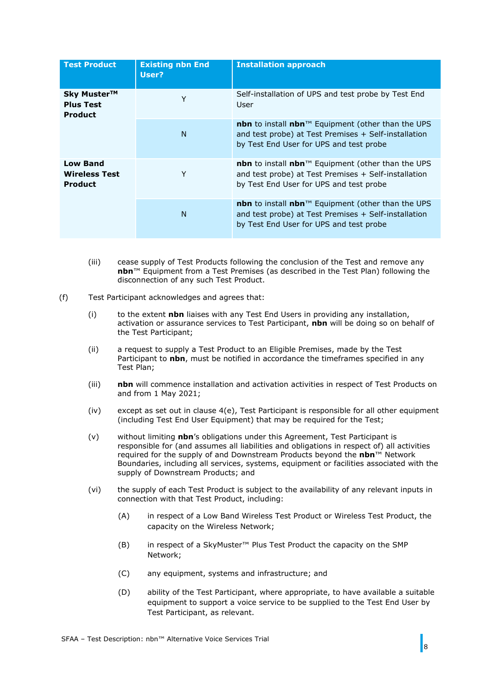| <b>Test Product</b>                                       | <b>Existing nbn End</b><br>User? | <b>Installation approach</b>                                                                                                                                                                |
|-----------------------------------------------------------|----------------------------------|---------------------------------------------------------------------------------------------------------------------------------------------------------------------------------------------|
| Sky Muster™<br><b>Plus Test</b><br><b>Product</b>         | Y                                | Self-installation of UPS and test probe by Test End<br>User                                                                                                                                 |
|                                                           | N                                | <b>nbn</b> to install $nbn^{m}$ Equipment (other than the UPS<br>and test probe) at Test Premises + Self-installation<br>by Test End User for UPS and test probe                            |
| <b>Low Band</b><br><b>Wireless Test</b><br><b>Product</b> | Y                                | <b>nbn</b> to install <b>nbn</b> <sup><math>M</math></sup> Equipment (other than the UPS<br>and test probe) at Test Premises + Self-installation<br>by Test End User for UPS and test probe |
|                                                           | N                                | nbn to install nbn™ Equipment (other than the UPS<br>and test probe) at Test Premises + Self-installation<br>by Test End User for UPS and test probe                                        |

- <span id="page-7-1"></span>(iii) cease supply of Test Products following the conclusion of the Test and remove any **nbn**™ Equipment from a Test Premises (as described in the Test Plan) following the disconnection of any such Test Product.
- <span id="page-7-0"></span>(f) Test Participant acknowledges and agrees that:
	- (i) to the extent **nbn** liaises with any Test End Users in providing any installation, activation or assurance services to Test Participant, **nbn** will be doing so on behalf of the Test Participant;
	- (ii) a request to supply a Test Product to an Eligible Premises, made by the Test Participant to **nbn**, must be notified in accordance the timeframes specified in any Test Plan;
	- (iii) **nbn** will commence installation and activation activities in respect of Test Products on and from 1 May 2021;
	- $(iv)$  except as set out in clause  $4(e)$ , Test Participant is responsible for all other equipment (including Test End User Equipment) that may be required for the Test;
	- (v) without limiting **nbn**'s obligations under this Agreement, Test Participant is responsible for (and assumes all liabilities and obligations in respect of) all activities required for the supply of and Downstream Products beyond the **nbn**™ Network Boundaries, including all services, systems, equipment or facilities associated with the supply of Downstream Products; and
	- (vi) the supply of each Test Product is subject to the availability of any relevant inputs in connection with that Test Product, including:
		- (A) in respect of a Low Band Wireless Test Product or Wireless Test Product, the capacity on the Wireless Network;
		- (B) in respect of a SkyMuster™ Plus Test Product the capacity on the SMP Network;
		- (C) any equipment, systems and infrastructure; and
		- (D) ability of the Test Participant, where appropriate, to have available a suitable equipment to support a voice service to be supplied to the Test End User by Test Participant, as relevant.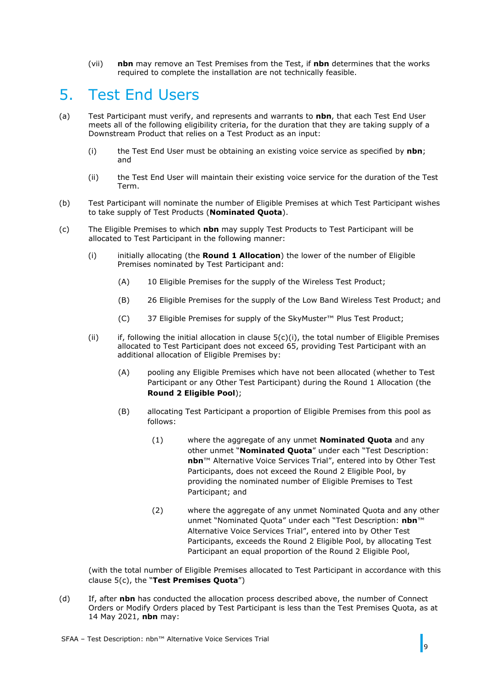(vii) **nbn** may remove an Test Premises from the Test, if **nbn** determines that the works required to complete the installation are not technically feasible.

## <span id="page-8-0"></span>5. Test End Users

- <span id="page-8-5"></span>(a) Test Participant must verify, and represents and warrants to **nbn**, that each Test End User meets all of the following eligibility criteria, for the duration that they are taking supply of a Downstream Product that relies on a Test Product as an input:
	- (i) the Test End User must be obtaining an existing voice service as specified by **nbn**; and
	- (ii) the Test End User will maintain their existing voice service for the duration of the Test Term.
- <span id="page-8-3"></span>(b) Test Participant will nominate the number of Eligible Premises at which Test Participant wishes to take supply of Test Products (**Nominated Quota**).
- <span id="page-8-4"></span><span id="page-8-1"></span>(c) The Eligible Premises to which **nbn** may supply Test Products to Test Participant will be allocated to Test Participant in the following manner:
	- (i) initially allocating (the **Round 1 Allocation**) the lower of the number of Eligible Premises nominated by Test Participant and:
		- (A) 10 Eligible Premises for the supply of the Wireless Test Product;
		- (B) 26 Eligible Premises for the supply of the Low Band Wireless Test Product; and
		- (C) 37 Eligible Premises for supply of the SkyMuster™ Plus Test Product;
	- (ii) if, following the initial allocation in clause  $5(c)(i)$ , the total number of Eligible Premises allocated to Test Participant does not exceed 65, providing Test Participant with an additional allocation of Eligible Premises by:
		- (A) pooling any Eligible Premises which have not been allocated (whether to Test Participant or any Other Test Participant) during the Round 1 Allocation (the **Round 2 Eligible Pool**);
		- (B) allocating Test Participant a proportion of Eligible Premises from this pool as follows:
			- (1) where the aggregate of any unmet **Nominated Quota** and any other unmet "**Nominated Quota**" under each "Test Description: **nbn**™ Alternative Voice Services Trial", entered into by Other Test Participants, does not exceed the Round 2 Eligible Pool, by providing the nominated number of Eligible Premises to Test Participant; and
			- (2) where the aggregate of any unmet Nominated Quota and any other unmet "Nominated Quota" under each "Test Description: **nbn**™ Alternative Voice Services Trial", entered into by Other Test Participants, exceeds the Round 2 Eligible Pool, by allocating Test Participant an equal proportion of the Round 2 Eligible Pool,

(with the total number of Eligible Premises allocated to Test Participant in accordance with this clause [5\(c\),](#page-8-1) the "**Test Premises Quota**")

<span id="page-8-2"></span>(d) If, after **nbn** has conducted the allocation process described above, the number of Connect Orders or Modify Orders placed by Test Participant is less than the Test Premises Quota, as at 14 May 2021, **nbn** may: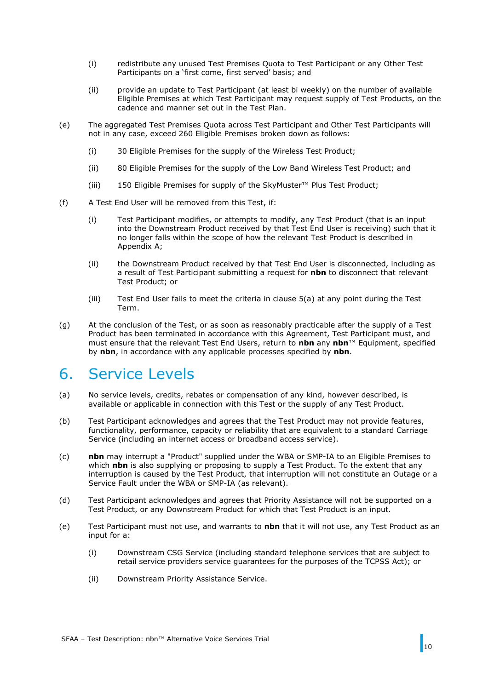- (i) redistribute any unused Test Premises Quota to Test Participant or any Other Test Participants on a 'first come, first served' basis; and
- (ii) provide an update to Test Participant (at least bi weekly) on the number of available Eligible Premises at which Test Participant may request supply of Test Products, on the cadence and manner set out in the Test Plan.
- (e) The aggregated Test Premises Quota across Test Participant and Other Test Participants will not in any case, exceed 260 Eligible Premises broken down as follows:
	- (i) 30 Eligible Premises for the supply of the Wireless Test Product;
	- (ii) 80 Eligible Premises for the supply of the Low Band Wireless Test Product; and
	- (iii) 150 Eligible Premises for supply of the SkyMuster™ Plus Test Product;
- (f) A Test End User will be removed from this Test, if:
	- (i) Test Participant modifies, or attempts to modify, any Test Product (that is an input into the Downstream Product received by that Test End User is receiving) such that it no longer falls within the scope of how the relevant Test Product is described in [Appendix A;](#page-16-0)
	- (ii) the Downstream Product received by that Test End User is disconnected, including as a result of Test Participant submitting a request for **nbn** to disconnect that relevant Test Product; or
	- (iii) Test End User fails to meet the criteria in clause [5\(a\)](#page-8-5) at any point during the Test Term.
- (g) At the conclusion of the Test, or as soon as reasonably practicable after the supply of a Test Product has been terminated in accordance with this Agreement, Test Participant must, and must ensure that the relevant Test End Users, return to **nbn** any **nbn**™ Equipment, specified by **nbn**, in accordance with any applicable processes specified by **nbn**.

## <span id="page-9-0"></span>6. Service Levels

- (a) No service levels, credits, rebates or compensation of any kind, however described, is available or applicable in connection with this Test or the supply of any Test Product.
- (b) Test Participant acknowledges and agrees that the Test Product may not provide features, functionality, performance, capacity or reliability that are equivalent to a standard Carriage Service (including an internet access or broadband access service).
- (c) **nbn** may interrupt a "Product" supplied under the WBA or SMP-IA to an Eligible Premises to which **nbn** is also supplying or proposing to supply a Test Product. To the extent that any interruption is caused by the Test Product, that interruption will not constitute an Outage or a Service Fault under the WBA or SMP-IA (as relevant).
- (d) Test Participant acknowledges and agrees that Priority Assistance will not be supported on a Test Product, or any Downstream Product for which that Test Product is an input.
- (e) Test Participant must not use, and warrants to **nbn** that it will not use, any Test Product as an input for a:
	- (i) Downstream CSG Service (including standard telephone services that are subject to retail service providers service guarantees for the purposes of the TCPSS Act); or
	- (ii) Downstream Priority Assistance Service.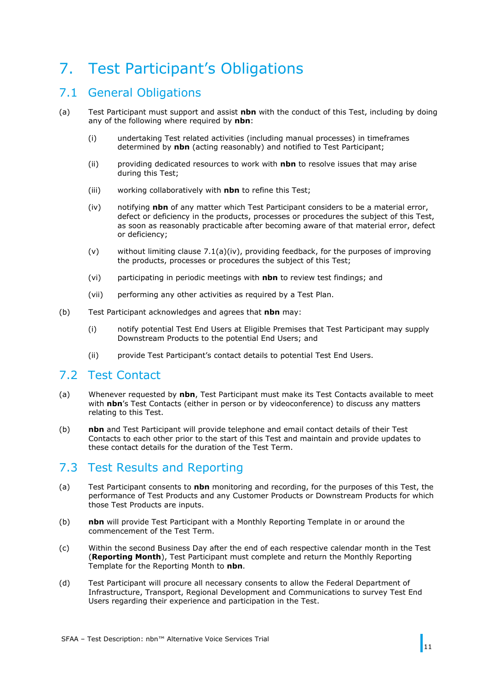# <span id="page-10-0"></span>7. Test Participant's Obligations

## <span id="page-10-1"></span>7.1 General Obligations

- <span id="page-10-4"></span>(a) Test Participant must support and assist **nbn** with the conduct of this Test, including by doing any of the following where required by **nbn**:
	- (i) undertaking Test related activities (including manual processes) in timeframes determined by **nbn** (acting reasonably) and notified to Test Participant;
	- (ii) providing dedicated resources to work with **nbn** to resolve issues that may arise during this Test;
	- (iii) working collaboratively with **nbn** to refine this Test;
	- (iv) notifying **nbn** of any matter which Test Participant considers to be a material error, defect or deficiency in the products, processes or procedures the subject of this Test, as soon as reasonably practicable after becoming aware of that material error, defect or deficiency;
	- (v) without limiting clause [7.1\(a\)\(iv\),](#page-10-4) providing feedback, for the purposes of improving the products, processes or procedures the subject of this Test;
	- (vi) participating in periodic meetings with **nbn** to review test findings; and
	- (vii) performing any other activities as required by a Test Plan.
- (b) Test Participant acknowledges and agrees that **nbn** may:
	- (i) notify potential Test End Users at Eligible Premises that Test Participant may supply Downstream Products to the potential End Users; and
	- (ii) provide Test Participant's contact details to potential Test End Users.

### <span id="page-10-2"></span>7.2 Test Contact

- (a) Whenever requested by **nbn**, Test Participant must make its Test Contacts available to meet with **nbn**'s Test Contacts (either in person or by videoconference) to discuss any matters relating to this Test.
- (b) **nbn** and Test Participant will provide telephone and email contact details of their Test Contacts to each other prior to the start of this Test and maintain and provide updates to these contact details for the duration of the Test Term.

## <span id="page-10-3"></span>7.3 Test Results and Reporting

- (a) Test Participant consents to **nbn** monitoring and recording, for the purposes of this Test, the performance of Test Products and any Customer Products or Downstream Products for which those Test Products are inputs.
- (b) **nbn** will provide Test Participant with a Monthly Reporting Template in or around the commencement of the Test Term.
- (c) Within the second Business Day after the end of each respective calendar month in the Test (**Reporting Month**), Test Participant must complete and return the Monthly Reporting Template for the Reporting Month to **nbn**.
- (d) Test Participant will procure all necessary consents to allow the Federal Department of Infrastructure, Transport, Regional Development and Communications to survey Test End Users regarding their experience and participation in the Test.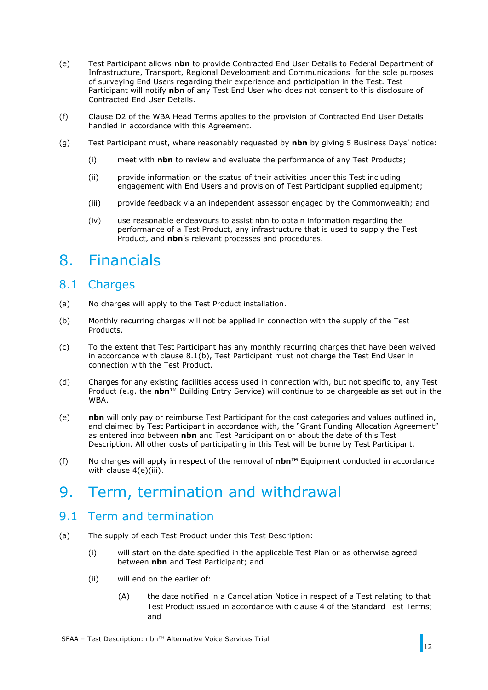- (e) Test Participant allows **nbn** to provide Contracted End User Details to Federal Department of Infrastructure, Transport, Regional Development and Communications for the sole purposes of surveying End Users regarding their experience and participation in the Test. Test Participant will notify **nbn** of any Test End User who does not consent to this disclosure of Contracted End User Details.
- (f) Clause D2 of the WBA Head Terms applies to the provision of Contracted End User Details handled in accordance with this Agreement.
- (g) Test Participant must, where reasonably requested by **nbn** by giving 5 Business Days' notice:
	- (i) meet with **nbn** to review and evaluate the performance of any Test Products;
	- (ii) provide information on the status of their activities under this Test including engagement with End Users and provision of Test Participant supplied equipment;
	- (iii) provide feedback via an independent assessor engaged by the Commonwealth; and
	- (iv) use reasonable endeavours to assist nbn to obtain information regarding the performance of a Test Product, any infrastructure that is used to supply the Test Product, and **nbn**'s relevant processes and procedures.

## <span id="page-11-0"></span>8. Financials

## <span id="page-11-1"></span>8.1 Charges

- (a) No charges will apply to the Test Product installation.
- <span id="page-11-4"></span>(b) Monthly recurring charges will not be applied in connection with the supply of the Test Products.
- (c) To the extent that Test Participant has any monthly recurring charges that have been waived in accordance with clause [8.1\(b\),](#page-11-4) Test Participant must not charge the Test End User in connection with the Test Product.
- (d) Charges for any existing facilities access used in connection with, but not specific to, any Test Product (e.g. the **nbn**™ Building Entry Service) will continue to be chargeable as set out in the WBA.
- (e) **nbn** will only pay or reimburse Test Participant for the cost categories and values outlined in, and claimed by Test Participant in accordance with, the "Grant Funding Allocation Agreement" as entered into between **nbn** and Test Participant on or about the date of this Test Description. All other costs of participating in this Test will be borne by Test Participant.
- (f) No charges will apply in respect of the removal of **nbn™** Equipment conducted in accordance with clause  $4(e)$ (iii).

## <span id="page-11-2"></span>9. Term, termination and withdrawal

### <span id="page-11-3"></span>9.1 Term and termination

- (a) The supply of each Test Product under this Test Description:
	- (i) will start on the date specified in the applicable Test Plan or as otherwise agreed between **nbn** and Test Participant; and
	- (ii) will end on the earlier of:
		- (A) the date notified in a Cancellation Notice in respect of a Test relating to that Test Product issued in accordance with clause 4 of the Standard Test Terms; and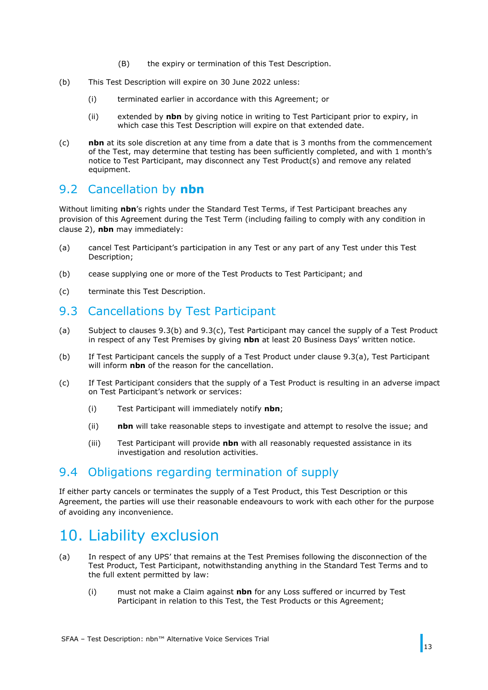- (B) the expiry or termination of this Test Description.
- (b) This Test Description will expire on 30 June 2022 unless:
	- (i) terminated earlier in accordance with this Agreement; or
	- (ii) extended by **nbn** by giving notice in writing to Test Participant prior to expiry, in which case this Test Description will expire on that extended date.
- (c) **nbn** at its sole discretion at any time from a date that is 3 months from the commencement of the Test, may determine that testing has been sufficiently completed, and with 1 month's notice to Test Participant, may disconnect any Test Product(s) and remove any related equipment.

## <span id="page-12-0"></span>9.2 Cancellation by **nbn**

Without limiting **nbn**'s rights under the Standard Test Terms, if Test Participant breaches any provision of this Agreement during the Test Term (including failing to comply with any condition in clause [2\)](#page-5-0), **nbn** may immediately:

- (a) cancel Test Participant's participation in any Test or any part of any Test under this Test Description;
- (b) cease supplying one or more of the Test Products to Test Participant; and
- (c) terminate this Test Description.

## <span id="page-12-1"></span>9.3 Cancellations by Test Participant

- <span id="page-12-6"></span>(a) Subject to clauses [9.3\(b\)](#page-12-4) and [9.3\(c\),](#page-12-5) Test Participant may cancel the supply of a Test Product in respect of any Test Premises by giving **nbn** at least 20 Business Days' written notice.
- <span id="page-12-4"></span>(b) If Test Participant cancels the supply of a Test Product under clause [9.3\(a\),](#page-12-6) Test Participant will inform **nbn** of the reason for the cancellation.
- <span id="page-12-5"></span>(c) If Test Participant considers that the supply of a Test Product is resulting in an adverse impact on Test Participant's network or services:
	- (i) Test Participant will immediately notify **nbn**;
	- (ii) **nbn** will take reasonable steps to investigate and attempt to resolve the issue; and
	- (iii) Test Participant will provide **nbn** with all reasonably requested assistance in its investigation and resolution activities.

### <span id="page-12-2"></span>9.4 Obligations regarding termination of supply

If either party cancels or terminates the supply of a Test Product, this Test Description or this Agreement, the parties will use their reasonable endeavours to work with each other for the purpose of avoiding any inconvenience.

## <span id="page-12-3"></span>10. Liability exclusion

- <span id="page-12-7"></span>(a) In respect of any UPS' that remains at the Test Premises following the disconnection of the Test Product, Test Participant, notwithstanding anything in the Standard Test Terms and to the full extent permitted by law:
	- (i) must not make a Claim against **nbn** for any Loss suffered or incurred by Test Participant in relation to this Test, the Test Products or this Agreement;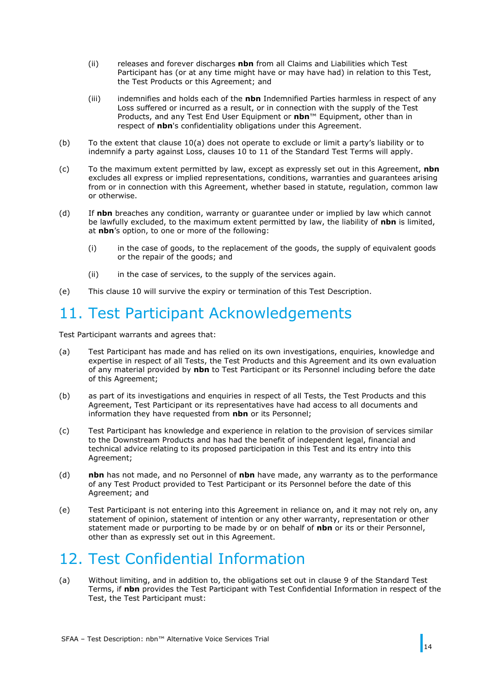- (ii) releases and forever discharges **nbn** from all Claims and Liabilities which Test Participant has (or at any time might have or may have had) in relation to this Test, the Test Products or this Agreement; and
- (iii) indemnifies and holds each of the **nbn** Indemnified Parties harmless in respect of any Loss suffered or incurred as a result, or in connection with the supply of the Test Products, and any Test End User Equipment or **nbn**™ Equipment, other than in respect of **nbn**'s confidentiality obligations under this Agreement.
- (b) To the extent that clause [10\(a\)](#page-12-7) does not operate to exclude or limit a party's liability or to indemnify a party against Loss, clauses 10 to 11 of the Standard Test Terms will apply.
- (c) To the maximum extent permitted by law, except as expressly set out in this Agreement, **nbn** excludes all express or implied representations, conditions, warranties and guarantees arising from or in connection with this Agreement, whether based in statute, regulation, common law or otherwise.
- (d) If **nbn** breaches any condition, warranty or guarantee under or implied by law which cannot be lawfully excluded, to the maximum extent permitted by law, the liability of **nbn** is limited, at **nbn**'s option, to one or more of the following:
	- (i) in the case of goods, to the replacement of the goods, the supply of equivalent goods or the repair of the goods; and
	- (ii) in the case of services, to the supply of the services again.
- (e) This clause [10](#page-12-3) will survive the expiry or termination of this Test Description.

# <span id="page-13-0"></span>11. Test Participant Acknowledgements

Test Participant warrants and agrees that:

- (a) Test Participant has made and has relied on its own investigations, enquiries, knowledge and expertise in respect of all Tests, the Test Products and this Agreement and its own evaluation of any material provided by **nbn** to Test Participant or its Personnel including before the date of this Agreement;
- (b) as part of its investigations and enquiries in respect of all Tests, the Test Products and this Agreement, Test Participant or its representatives have had access to all documents and information they have requested from **nbn** or its Personnel;
- (c) Test Participant has knowledge and experience in relation to the provision of services similar to the Downstream Products and has had the benefit of independent legal, financial and technical advice relating to its proposed participation in this Test and its entry into this Agreement;
- (d) **nbn** has not made, and no Personnel of **nbn** have made, any warranty as to the performance of any Test Product provided to Test Participant or its Personnel before the date of this Agreement; and
- (e) Test Participant is not entering into this Agreement in reliance on, and it may not rely on, any statement of opinion, statement of intention or any other warranty, representation or other statement made or purporting to be made by or on behalf of **nbn** or its or their Personnel, other than as expressly set out in this Agreement.

# <span id="page-13-1"></span>12. Test Confidential Information

<span id="page-13-2"></span>(a) Without limiting, and in addition to, the obligations set out in clause 9 of the Standard Test Terms, if **nbn** provides the Test Participant with Test Confidential Information in respect of the Test, the Test Participant must: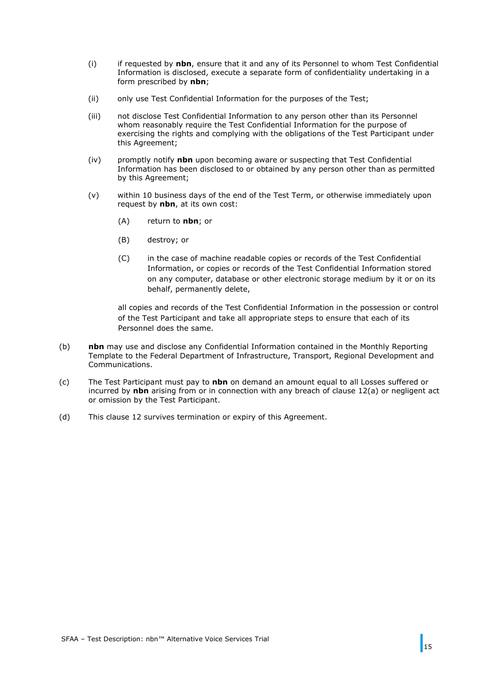- (i) if requested by **nbn**, ensure that it and any of its Personnel to whom Test Confidential Information is disclosed, execute a separate form of confidentiality undertaking in a form prescribed by **nbn**;
- (ii) only use Test Confidential Information for the purposes of the Test;
- (iii) not disclose Test Confidential Information to any person other than its Personnel whom reasonably require the Test Confidential Information for the purpose of exercising the rights and complying with the obligations of the Test Participant under this Agreement;
- (iv) promptly notify **nbn** upon becoming aware or suspecting that Test Confidential Information has been disclosed to or obtained by any person other than as permitted by this Agreement;
- (v) within 10 business days of the end of the Test Term, or otherwise immediately upon request by **nbn**, at its own cost:
	- (A) return to **nbn**; or
	- (B) destroy; or
	- (C) in the case of machine readable copies or records of the Test Confidential Information, or copies or records of the Test Confidential Information stored on any computer, database or other electronic storage medium by it or on its behalf, permanently delete,

all copies and records of the Test Confidential Information in the possession or control of the Test Participant and take all appropriate steps to ensure that each of its Personnel does the same.

- (b) **nbn** may use and disclose any Confidential Information contained in the Monthly Reporting Template to the Federal Department of Infrastructure, Transport, Regional Development and Communications.
- (c) The Test Participant must pay to **nbn** on demand an amount equal to all Losses suffered or incurred by **nbn** arising from or in connection with any breach of clause [12\(a\)](#page-13-2) or negligent act or omission by the Test Participant.
- (d) This clause [12](#page-13-1) survives termination or expiry of this Agreement.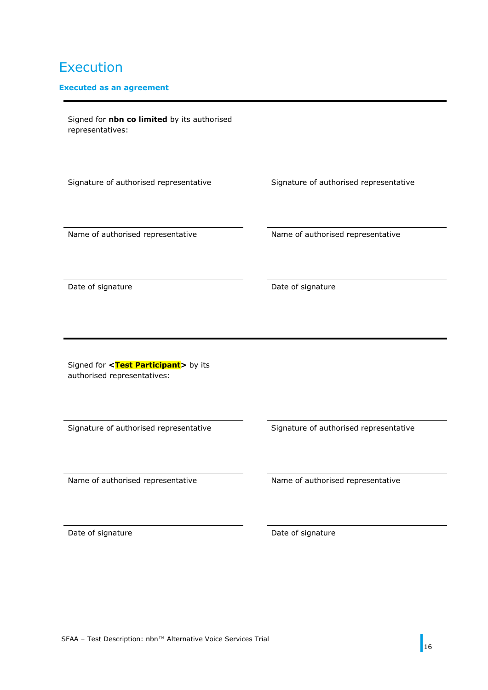## Execution

#### **Executed as an agreement**

Signed for **nbn co limited** by its authorised representatives:

Signature of authorised representative Signature of authorised representative

Name of authorised representative Name of authorised representative

Date of signature Date of signature

Signed for <Test Participant> by its authorised representatives:

Signature of authorised representative Signature of authorised representative

Name of authorised representative Name of authorised representative

Date of signature Date of signature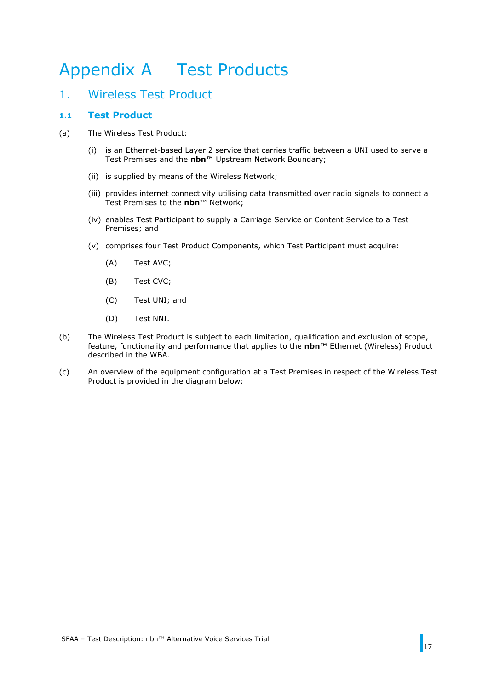# <span id="page-16-0"></span>Appendix A Test Products

### <span id="page-16-1"></span>1. Wireless Test Product

### **1.1 Test Product**

- (a) The Wireless Test Product:
	- (i) is an Ethernet-based Layer 2 service that carries traffic between a UNI used to serve a Test Premises and the **nbn**™ Upstream Network Boundary;
	- (ii) is supplied by means of the Wireless Network;
	- (iii) provides internet connectivity utilising data transmitted over radio signals to connect a Test Premises to the **nbn**™ Network;
	- (iv) enables Test Participant to supply a Carriage Service or Content Service to a Test Premises; and
	- (v) comprises four Test Product Components, which Test Participant must acquire:
		- (A) Test AVC;
		- (B) Test CVC;
		- (C) Test UNI; and
		- (D) Test NNI.
- (b) The Wireless Test Product is subject to each limitation, qualification and exclusion of scope, feature, functionality and performance that applies to the **nbn**™ Ethernet (Wireless) Product described in the WBA.
- (c) An overview of the equipment configuration at a Test Premises in respect of the Wireless Test Product is provided in the diagram below: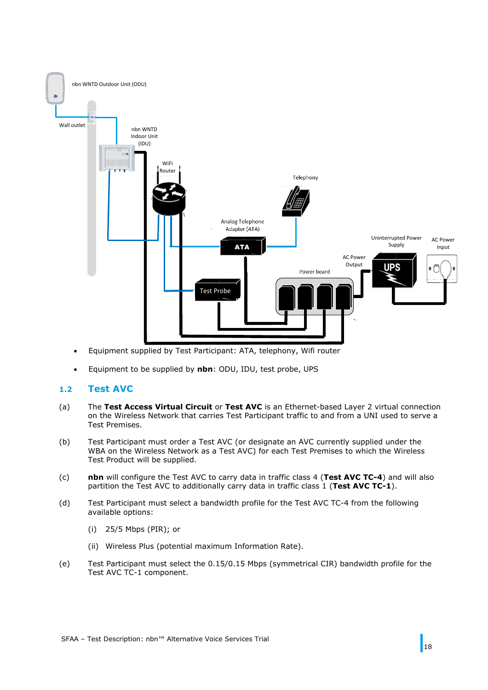

- Equipment supplied by Test Participant: ATA, telephony, Wifi router
- Equipment to be supplied by **nbn**: ODU, IDU, test probe, UPS

#### **1.2 Test AVC**

- (a) The **Test Access Virtual Circuit** or **Test AVC** is an Ethernet-based Layer 2 virtual connection on the Wireless Network that carries Test Participant traffic to and from a UNI used to serve a Test Premises.
- (b) Test Participant must order a Test AVC (or designate an AVC currently supplied under the WBA on the Wireless Network as a Test AVC) for each Test Premises to which the Wireless Test Product will be supplied.
- (c) **nbn** will configure the Test AVC to carry data in traffic class 4 (**Test AVC TC-4**) and will also partition the Test AVC to additionally carry data in traffic class 1 (**Test AVC TC-1**).
- (d) Test Participant must select a bandwidth profile for the Test AVC TC-4 from the following available options:
	- (i) 25/5 Mbps (PIR); or
	- (ii) Wireless Plus (potential maximum Information Rate).
- (e) Test Participant must select the 0.15/0.15 Mbps (symmetrical CIR) bandwidth profile for the Test AVC TC-1 component.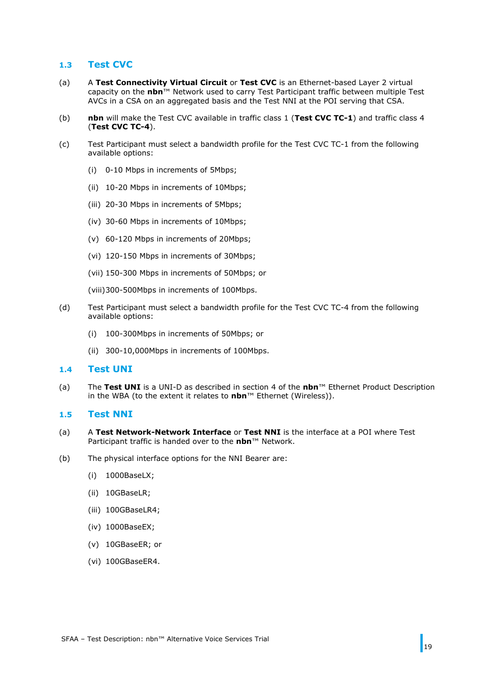#### **1.3 Test CVC**

- (a) A **Test Connectivity Virtual Circuit** or **Test CVC** is an Ethernet-based Layer 2 virtual capacity on the **nbn**™ Network used to carry Test Participant traffic between multiple Test AVCs in a CSA on an aggregated basis and the Test NNI at the POI serving that CSA.
- (b) **nbn** will make the Test CVC available in traffic class 1 (**Test CVC TC-1**) and traffic class 4 (**Test CVC TC-4**).
- (c) Test Participant must select a bandwidth profile for the Test CVC TC-1 from the following available options:
	- (i) 0-10 Mbps in increments of 5Mbps;
	- (ii) 10-20 Mbps in increments of 10Mbps;
	- (iii) 20-30 Mbps in increments of 5Mbps;
	- (iv) 30-60 Mbps in increments of 10Mbps;
	- (v) 60-120 Mbps in increments of 20Mbps;
	- (vi) 120-150 Mbps in increments of 30Mbps;
	- (vii) 150-300 Mbps in increments of 50Mbps; or
	- (viii)300-500Mbps in increments of 100Mbps.
- (d) Test Participant must select a bandwidth profile for the Test CVC TC-4 from the following available options:
	- (i) 100-300Mbps in increments of 50Mbps; or
	- (ii) 300-10,000Mbps in increments of 100Mbps.

#### **1.4 Test UNI**

(a) The **Test UNI** is a UNI-D as described in section 4 of the **nbn**™ Ethernet Product Description in the WBA (to the extent it relates to **nbn**™ Ethernet (Wireless)).

#### **1.5 Test NNI**

- (a) A **Test Network-Network Interface** or **Test NNI** is the interface at a POI where Test Participant traffic is handed over to the **nbn**™ Network.
- (b) The physical interface options for the NNI Bearer are:
	- (i) 1000BaseLX;
	- (ii) 10GBaseLR;
	- (iii) 100GBaseLR4;
	- (iv) 1000BaseEX;
	- (v) 10GBaseER; or
	- (vi) 100GBaseER4.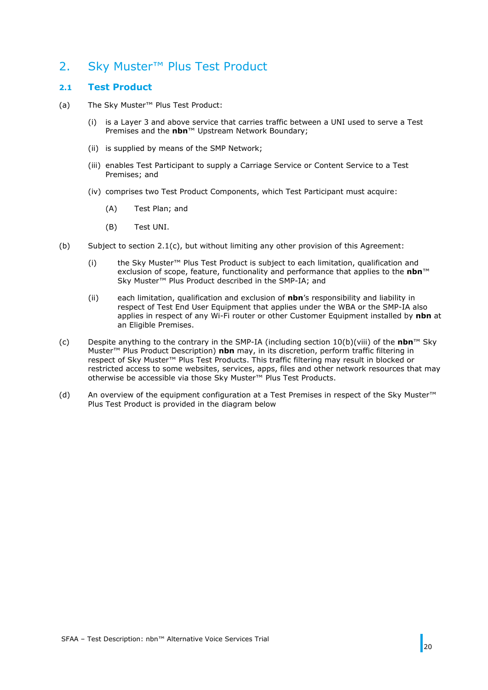## <span id="page-19-0"></span>2. Sky Muster™ Plus Test Product

### <span id="page-19-1"></span>**2.1 Test Product**

- (a) The Sky Muster™ Plus Test Product:
	- (i) is a Layer 3 and above service that carries traffic between a UNI used to serve a Test Premises and the **nbn**™ Upstream Network Boundary;
	- (ii) is supplied by means of the SMP Network;
	- (iii) enables Test Participant to supply a Carriage Service or Content Service to a Test Premises; and
	- (iv) comprises two Test Product Components, which Test Participant must acquire:
		- (A) Test Plan; and
		- (B) Test UNI.
- (b) Subject to section  $2.1(c)$ , but without limiting any other provision of this Agreement:
	- (i) the Sky Muster™ Plus Test Product is subject to each limitation, qualification and exclusion of scope, feature, functionality and performance that applies to the **nbn**™ Sky Muster™ Plus Product described in the SMP-IA; and
	- (ii) each limitation, qualification and exclusion of **nbn**'s responsibility and liability in respect of Test End User Equipment that applies under the WBA or the SMP-IA also applies in respect of any Wi-Fi router or other Customer Equipment installed by **nbn** at an Eligible Premises.
- <span id="page-19-2"></span>(c) Despite anything to the contrary in the SMP-IA (including section 10(b)(viii) of the **nbn**™ Sky Muster™ Plus Product Description) **nbn** may, in its discretion, perform traffic filtering in respect of Sky Muster™ Plus Test Products. This traffic filtering may result in blocked or restricted access to some websites, services, apps, files and other network resources that may otherwise be accessible via those Sky Muster™ Plus Test Products.
- (d) An overview of the equipment configuration at a Test Premises in respect of the Sky Muster™ Plus Test Product is provided in the diagram below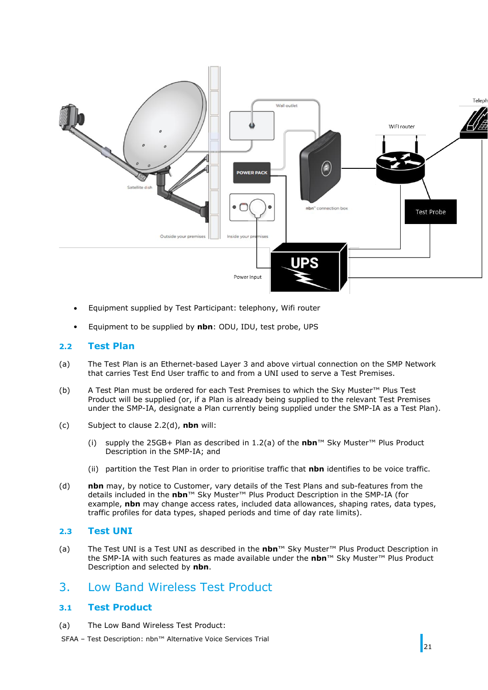

- Equipment supplied by Test Participant: telephony, Wifi router
- Equipment to be supplied by **nbn**: ODU, IDU, test probe, UPS

### <span id="page-20-1"></span>**2.2 Test Plan**

- (a) The Test Plan is an Ethernet-based Layer 3 and above virtual connection on the SMP Network that carries Test End User traffic to and from a UNI used to serve a Test Premises.
- (b) A Test Plan must be ordered for each Test Premises to which the Sky Muster™ Plus Test Product will be supplied (or, if a Plan is already being supplied to the relevant Test Premises under the SMP-IA, designate a Plan currently being supplied under the SMP-IA as a Test Plan).
- (c) Subject to clause [2.2](#page-20-1)[\(d\),](#page-20-2) **nbn** will:
	- (i) supply the 25GB+ Plan as described in 1.2(a) of the **nbn**™ Sky Muster™ Plus Product Description in the SMP-IA; and
	- (ii) partition the Test Plan in order to prioritise traffic that **nbn** identifies to be voice traffic.
- <span id="page-20-2"></span>(d) **nbn** may, by notice to Customer, vary details of the Test Plans and sub-features from the details included in the **nbn**™ Sky Muster™ Plus Product Description in the SMP-IA (for example, **nbn** may change access rates, included data allowances, shaping rates, data types, traffic profiles for data types, shaped periods and time of day rate limits).

#### **2.3 Test UNI**

(a) The Test UNI is a Test UNI as described in the **nbn**™ Sky Muster™ Plus Product Description in the SMP-IA with such features as made available under the **nbn**™ Sky Muster™ Plus Product Description and selected by **nbn**.

### <span id="page-20-0"></span>3. Low Band Wireless Test Product

### **3.1 Test Product**

- (a) The Low Band Wireless Test Product:
- SFAA Test Description: nbn™ Alternative Voice Services Trial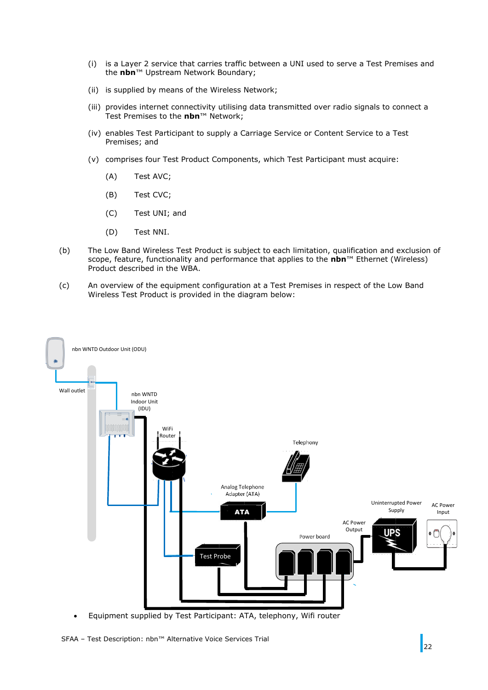- (i) is a Layer 2 service that carries traffic between a UNI used to serve a Test Premises and the **nbn**™ Upstream Network Boundary;
- (ii) is supplied by means of the Wireless Network;
- (iii) provides internet connectivity utilising data transmitted over radio signals to connect a Test Premises to the **nbn**™ Network;
- (iv) enables Test Participant to supply a Carriage Service or Content Service to a Test Premises; and
- (v) comprises four Test Product Components, which Test Participant must acquire:
	- (A) Test AVC;
	- (B) Test CVC;
	- (C) Test UNI; and
	- (D) Test NNI.
- (b) The Low Band Wireless Test Product is subject to each limitation, qualification and exclusion of scope, feature, functionality and performance that applies to the **nbn**™ Ethernet (Wireless) Product described in the WBA.
- (c) An overview of the equipment configuration at a Test Premises in respect of the Low Band Wireless Test Product is provided in the diagram below:



• Equipment supplied by Test Participant: ATA, telephony, Wifi router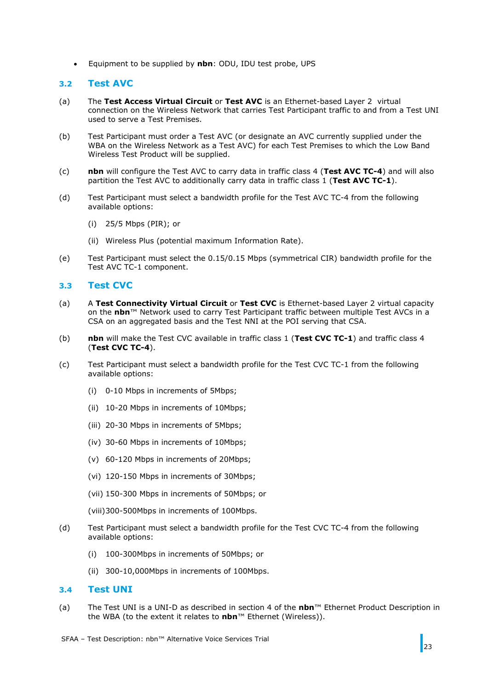• Equipment to be supplied by **nbn**: ODU, IDU test probe, UPS

#### **3.2 Test AVC**

- (a) The **Test Access Virtual Circuit** or **Test AVC** is an Ethernet-based Layer 2 virtual connection on the Wireless Network that carries Test Participant traffic to and from a Test UNI used to serve a Test Premises.
- (b) Test Participant must order a Test AVC (or designate an AVC currently supplied under the WBA on the Wireless Network as a Test AVC) for each Test Premises to which the Low Band Wireless Test Product will be supplied.
- (c) **nbn** will configure the Test AVC to carry data in traffic class 4 (**Test AVC TC-4**) and will also partition the Test AVC to additionally carry data in traffic class 1 (**Test AVC TC-1**).
- (d) Test Participant must select a bandwidth profile for the Test AVC TC-4 from the following available options:
	- (i) 25/5 Mbps (PIR); or
	- (ii) Wireless Plus (potential maximum Information Rate).
- (e) Test Participant must select the 0.15/0.15 Mbps (symmetrical CIR) bandwidth profile for the Test AVC TC-1 component.

#### **3.3 Test CVC**

- (a) A **Test Connectivity Virtual Circuit** or **Test CVC** is Ethernet-based Layer 2 virtual capacity on the **nbn**™ Network used to carry Test Participant traffic between multiple Test AVCs in a CSA on an aggregated basis and the Test NNI at the POI serving that CSA.
- (b) **nbn** will make the Test CVC available in traffic class 1 (**Test CVC TC-1**) and traffic class 4 (**Test CVC TC-4**).
- (c) Test Participant must select a bandwidth profile for the Test CVC TC-1 from the following available options:
	- (i) 0-10 Mbps in increments of 5Mbps;
	- (ii) 10-20 Mbps in increments of 10Mbps;
	- (iii) 20-30 Mbps in increments of 5Mbps;
	- (iv) 30-60 Mbps in increments of 10Mbps;
	- (v) 60-120 Mbps in increments of 20Mbps;
	- (vi) 120-150 Mbps in increments of 30Mbps;
	- (vii) 150-300 Mbps in increments of 50Mbps; or
	- (viii)300-500Mbps in increments of 100Mbps.
- (d) Test Participant must select a bandwidth profile for the Test CVC TC-4 from the following available options:
	- (i) 100-300Mbps in increments of 50Mbps; or
	- (ii) 300-10,000Mbps in increments of 100Mbps.

#### **3.4 Test UNI**

- (a) The Test UNI is a UNI-D as described in section 4 of the **nbn**™ Ethernet Product Description in the WBA (to the extent it relates to **nbn**™ Ethernet (Wireless)).
- SFAA Test Description: nbn™ Alternative Voice Services Trial